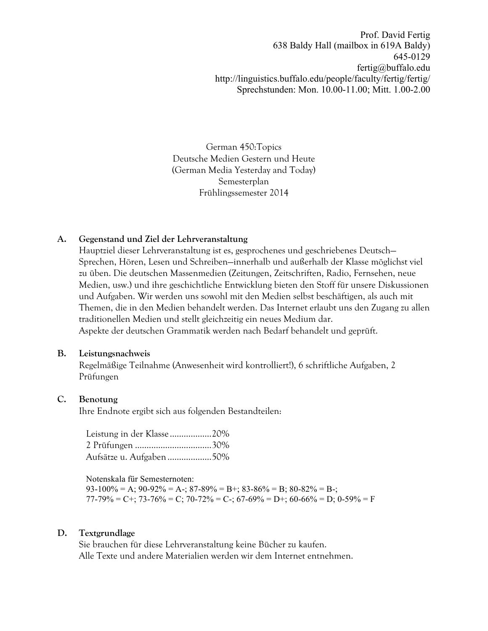Prof. David Fertig 638 Baldy Hall (mailbox in 619A Baldy) 645-0129 fertig@buffalo.edu http://linguistics.buffalo.edu/people/faculty/fertig/fertig/ Sprechstunden: Mon. 10.00-11.00; Mitt. 1.00-2.00

German 450:Topics Deutsche Medien Gestern und Heute (German Media Yesterday and Today) Semesterplan Frühlingssemester 2014

# **A. Gegenstand und Ziel der Lehrveranstaltung**

Hauptziel dieser Lehrveranstaltung ist es, gesprochenes und geschriebenes Deutsch— Sprechen, Hören, Lesen und Schreiben—innerhalb und außerhalb der Klasse möglichst viel zu üben. Die deutschen Massenmedien (Zeitungen, Zeitschriften, Radio, Fernsehen, neue Medien, usw.) und ihre geschichtliche Entwicklung bieten den Stoff für unsere Diskussionen und Aufgaben. Wir werden uns sowohl mit den Medien selbst beschäftigen, als auch mit Themen, die in den Medien behandelt werden. Das Internet erlaubt uns den Zugang zu allen traditionellen Medien und stellt gleichzeitig ein neues Medium dar. Aspekte der deutschen Grammatik werden nach Bedarf behandelt und geprüft.

# **B. Leistungsnachweis**

Regelmäßige Teilnahme (Anwesenheit wird kontrolliert!), 6 schriftliche Aufgaben, 2 Prüfungen

# **C. Benotung**

Ihre Endnote ergibt sich aus folgenden Bestandteilen:

Leistung in der Klasse ..................20% 2 Prüfungen .................................30% Aufsätze u. Aufgaben...................50%

Notenskala für Semesternoten:

 $93-100\% = A$ ;  $90-92\% = A$ -;  $87-89\% = B$ +;  $83-86\% = B$ ;  $80-82\% = B$ -;  $77-79\% = C^+$ ;  $73-76\% = C$ ;  $70-72\% = C^-$ ;  $67-69\% = D^+$ ;  $60-66\% = D$ ;  $0-59\% = F$ 

# **D. Textgrundlage**

Sie brauchen für diese Lehrveranstaltung keine Bücher zu kaufen. Alle Texte und andere Materialien werden wir dem Internet entnehmen.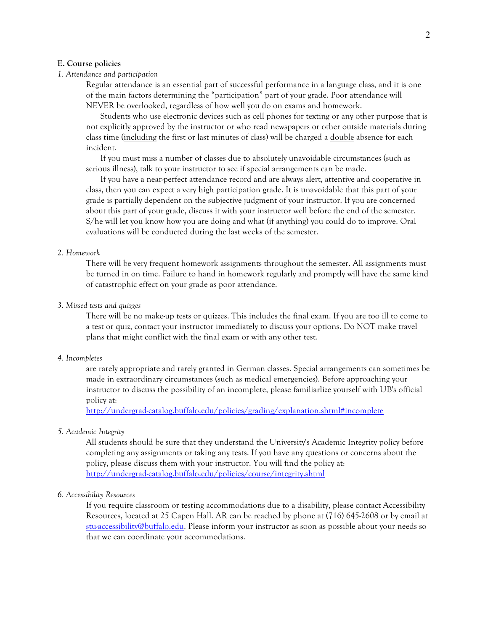#### **E. Course policies**

## *1. Attendance and participation*

Regular attendance is an essential part of successful performance in a language class, and it is one of the main factors determining the "participation" part of your grade. Poor attendance will NEVER be overlooked, regardless of how well you do on exams and homework.

Students who use electronic devices such as cell phones for texting or any other purpose that is not explicitly approved by the instructor or who read newspapers or other outside materials during class time (including the first or last minutes of class) will be charged a <u>double</u> absence for each incident.

If you must miss a number of classes due to absolutely unavoidable circumstances (such as serious illness), talk to your instructor to see if special arrangements can be made.

If you have a near-perfect attendance record and are always alert, attentive and cooperative in class, then you can expect a very high participation grade. It is unavoidable that this part of your grade is partially dependent on the subjective judgment of your instructor. If you are concerned about this part of your grade, discuss it with your instructor well before the end of the semester. S/he will let you know how you are doing and what (if anything) you could do to improve. Oral evaluations will be conducted during the last weeks of the semester.

#### *2. Homework*

There will be very frequent homework assignments throughout the semester. All assignments must be turned in on time. Failure to hand in homework regularly and promptly will have the same kind of catastrophic effect on your grade as poor attendance.

#### *3. Missed tests and quizzes*

There will be no make-up tests or quizzes. This includes the final exam. If you are too ill to come to a test or quiz, contact your instructor immediately to discuss your options. Do NOT make travel plans that might conflict with the final exam or with any other test.

## *4. Incompletes*

are rarely appropriate and rarely granted in German classes. Special arrangements can sometimes be made in extraordinary circumstances (such as medical emergencies). Before approaching your instructor to discuss the possibility of an incomplete, please familiarlize yourself with UB's official policy at:

http://undergrad-catalog.buffalo.edu/policies/grading/explanation.shtml#incomplete

### *5. Academic Integrity*

All students should be sure that they understand the University's Academic Integrity policy before completing any assignments or taking any tests. If you have any questions or concerns about the policy, please discuss them with your instructor. You will find the policy at: http://undergrad-catalog.buffalo.edu/policies/course/integrity.shtml

## *6. Accessibility Resources*

If you require classroom or testing accommodations due to a disability, please contact Accessibility Resources, located at 25 Capen Hall. AR can be reached by phone at (716) 645-2608 or by email at stu-accessibility@buffalo.edu. Please inform your instructor as soon as possible about your needs so that we can coordinate your accommodations.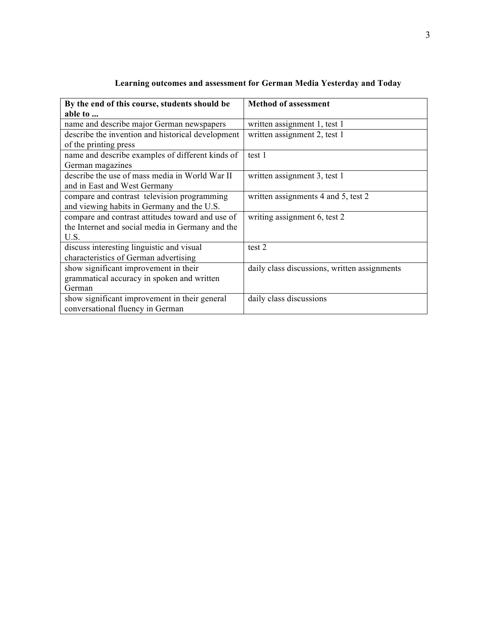| By the end of this course, students should be     | <b>Method of assessment</b>                  |  |
|---------------------------------------------------|----------------------------------------------|--|
| able to                                           |                                              |  |
| name and describe major German newspapers         | written assignment 1, test 1                 |  |
| describe the invention and historical development | written assignment 2, test 1                 |  |
| of the printing press                             |                                              |  |
| name and describe examples of different kinds of  | test 1                                       |  |
| German magazines                                  |                                              |  |
| describe the use of mass media in World War II    | written assignment 3, test 1                 |  |
| and in East and West Germany                      |                                              |  |
| compare and contrast television programming       | written assignments 4 and 5, test 2          |  |
| and viewing habits in Germany and the U.S.        |                                              |  |
| compare and contrast attitudes toward and use of  | writing assignment 6, test 2                 |  |
| the Internet and social media in Germany and the  |                                              |  |
| U.S.                                              |                                              |  |
| discuss interesting linguistic and visual         | test 2                                       |  |
| characteristics of German advertising             |                                              |  |
| show significant improvement in their             | daily class discussions, written assignments |  |
| grammatical accuracy in spoken and written        |                                              |  |
| German                                            |                                              |  |
| show significant improvement in their general     | daily class discussions                      |  |
| conversational fluency in German                  |                                              |  |

| Learning outcomes and assessment for German Media Yesterday and Today |  |  |
|-----------------------------------------------------------------------|--|--|
|                                                                       |  |  |